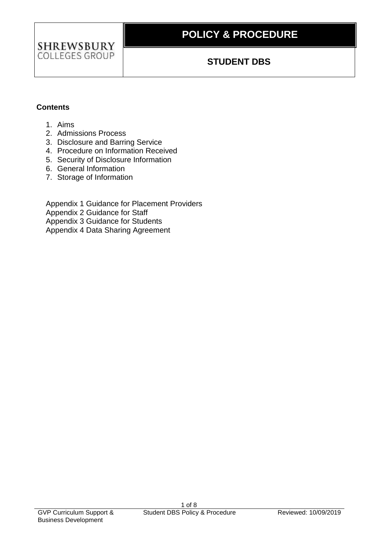

# **POLICY & PROCEDURE**

### **STUDENT DBS**

#### **Contents**

- 1. Aims
- 2. Admissions Process
- 3. Disclosure and Barring Service
- 4. Procedure on Information Received
- 5. Security of Disclosure Information
- 6. General Information
- 7. Storage of Information

Appendix 1 Guidance for Placement Providers Appendix 2 Guidance for Staff Appendix 3 Guidance for Students Appendix 4 Data Sharing Agreement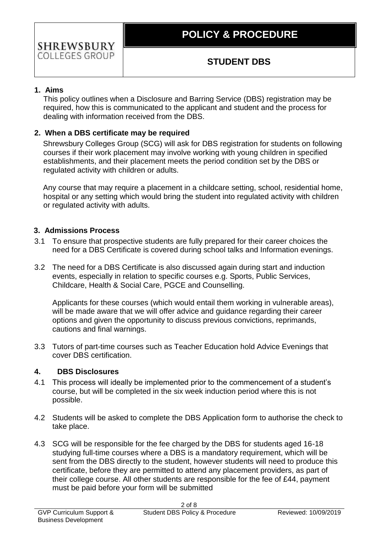### **1. Aims**

This policy outlines when a Disclosure and Barring Service (DBS) registration may be required, how this is communicated to the applicant and student and the process for dealing with information received from the DBS.

### **2. When a DBS certificate may be required**

Shrewsbury Colleges Group (SCG) will ask for DBS registration for students on following courses if their work placement may involve working with young children in specified establishments, and their placement meets the period condition set by the DBS or regulated activity with children or adults.

Any course that may require a placement in a childcare setting, school, residential home, hospital or any setting which would bring the student into regulated activity with children or regulated activity with adults.

### **3. Admissions Process**

- 3.1 To ensure that prospective students are fully prepared for their career choices the need for a DBS Certificate is covered during school talks and Information evenings.
- 3.2 The need for a DBS Certificate is also discussed again during start and induction events, especially in relation to specific courses e.g. Sports, Public Services, Childcare, Health & Social Care, PGCE and Counselling.

Applicants for these courses (which would entail them working in vulnerable areas), will be made aware that we will offer advice and guidance regarding their career options and given the opportunity to discuss previous convictions, reprimands, cautions and final warnings.

3.3 Tutors of part-time courses such as Teacher Education hold Advice Evenings that cover DBS certification.

#### **4. DBS Disclosures**

- 4.1 This process will ideally be implemented prior to the commencement of a student's course, but will be completed in the six week induction period where this is not possible.
- 4.2 Students will be asked to complete the DBS Application form to authorise the check to take place.
- 4.3 SCG will be responsible for the fee charged by the DBS for students aged 16-18 studying full-time courses where a DBS is a mandatory requirement, which will be sent from the DBS directly to the student, however students will need to produce this certificate, before they are permitted to attend any placement providers, as part of their college course. All other students are responsible for the fee of £44, payment must be paid before your form will be submitted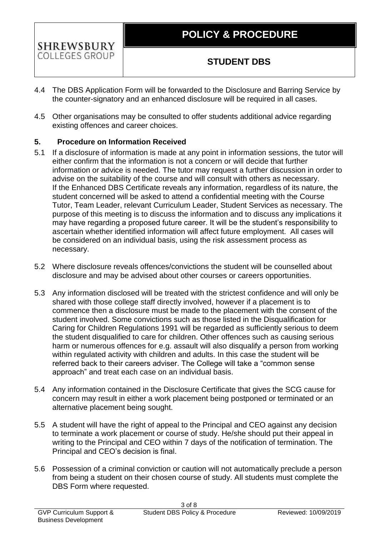

- 4.4 The DBS Application Form will be forwarded to the Disclosure and Barring Service by the counter-signatory and an enhanced disclosure will be required in all cases.
- 4.5 Other organisations may be consulted to offer students additional advice regarding existing offences and career choices.

### **5. Procedure on Information Received**

- 5.1 If a disclosure of information is made at any point in information sessions, the tutor will either confirm that the information is not a concern or will decide that further information or advice is needed. The tutor may request a further discussion in order to advise on the suitability of the course and will consult with others as necessary. If the Enhanced DBS Certificate reveals any information, regardless of its nature, the student concerned will be asked to attend a confidential meeting with the Course Tutor, Team Leader, relevant Curriculum Leader, Student Services as necessary. The purpose of this meeting is to discuss the information and to discuss any implications it may have regarding a proposed future career. It will be the student's responsibility to ascertain whether identified information will affect future employment. All cases will be considered on an individual basis, using the risk assessment process as necessary.
- 5.2 Where disclosure reveals offences/convictions the student will be counselled about disclosure and may be advised about other courses or careers opportunities.
- 5.3 Any information disclosed will be treated with the strictest confidence and will only be shared with those college staff directly involved, however if a placement is to commence then a disclosure must be made to the placement with the consent of the student involved. Some convictions such as those listed in the Disqualification for Caring for Children Regulations 1991 will be regarded as sufficiently serious to deem the student disqualified to care for children. Other offences such as causing serious harm or numerous offences for e.g. assault will also disqualify a person from working within regulated activity with children and adults. In this case the student will be referred back to their careers adviser. The College will take a "common sense approach" and treat each case on an individual basis.
- 5.4 Any information contained in the Disclosure Certificate that gives the SCG cause for concern may result in either a work placement being postponed or terminated or an alternative placement being sought.
- 5.5 A student will have the right of appeal to the Principal and CEO against any decision to terminate a work placement or course of study. He/she should put their appeal in writing to the Principal and CEO within 7 days of the notification of termination. The Principal and CEO's decision is final.
- 5.6 Possession of a criminal conviction or caution will not automatically preclude a person from being a student on their chosen course of study. All students must complete the DBS Form where requested.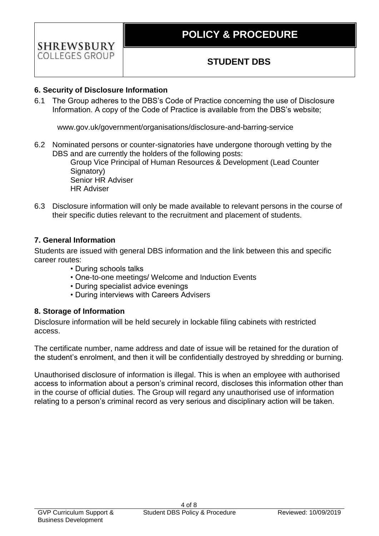### **6. Security of Disclosure Information**

6.1 The Group adheres to the DBS's Code of Practice concerning the use of Disclosure Information. A copy of the Code of Practice is available from the DBS's website;

www.gov.uk/government/organisations/disclosure-and-barring-service

6.2 Nominated persons or counter-signatories have undergone thorough vetting by the DBS and are currently the holders of the following posts:

> Group Vice Principal of Human Resources & Development (Lead Counter Signatory) Senior HR Adviser HR Adviser

6.3 Disclosure information will only be made available to relevant persons in the course of their specific duties relevant to the recruitment and placement of students.

### **7. General Information**

Students are issued with general DBS information and the link between this and specific career routes:

- During schools talks
- One-to-one meetings/ Welcome and Induction Events
- During specialist advice evenings
- During interviews with Careers Advisers

#### **8. Storage of Information**

Disclosure information will be held securely in lockable filing cabinets with restricted access.

The certificate number, name address and date of issue will be retained for the duration of the student's enrolment, and then it will be confidentially destroyed by shredding or burning.

Unauthorised disclosure of information is illegal. This is when an employee with authorised access to information about a person's criminal record, discloses this information other than in the course of official duties. The Group will regard any unauthorised use of information relating to a person's criminal record as very serious and disciplinary action will be taken.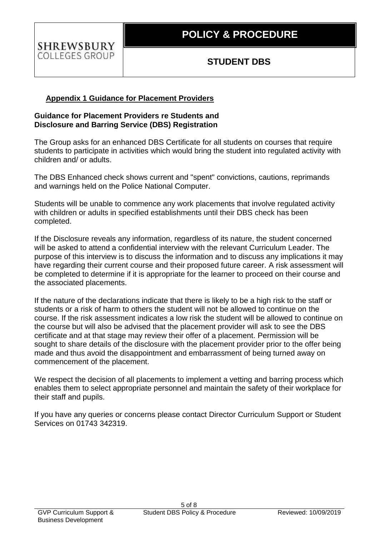#### **Appendix 1 Guidance for Placement Providers**

#### **Guidance for Placement Providers re Students and Disclosure and Barring Service (DBS) Registration**

The Group asks for an enhanced DBS Certificate for all students on courses that require students to participate in activities which would bring the student into regulated activity with children and/ or adults.

The DBS Enhanced check shows current and "spent" convictions, cautions, reprimands and warnings held on the Police National Computer.

Students will be unable to commence any work placements that involve regulated activity with children or adults in specified establishments until their DBS check has been completed.

If the Disclosure reveals any information, regardless of its nature, the student concerned will be asked to attend a confidential interview with the relevant Curriculum Leader. The purpose of this interview is to discuss the information and to discuss any implications it may have regarding their current course and their proposed future career. A risk assessment will be completed to determine if it is appropriate for the learner to proceed on their course and the associated placements.

If the nature of the declarations indicate that there is likely to be a high risk to the staff or students or a risk of harm to others the student will not be allowed to continue on the course. If the risk assessment indicates a low risk the student will be allowed to continue on the course but will also be advised that the placement provider will ask to see the DBS certificate and at that stage may review their offer of a placement. Permission will be sought to share details of the disclosure with the placement provider prior to the offer being made and thus avoid the disappointment and embarrassment of being turned away on commencement of the placement.

We respect the decision of all placements to implement a vetting and barring process which enables them to select appropriate personnel and maintain the safety of their workplace for their staff and pupils.

If you have any queries or concerns please contact Director Curriculum Support or Student Services on 01743 342319.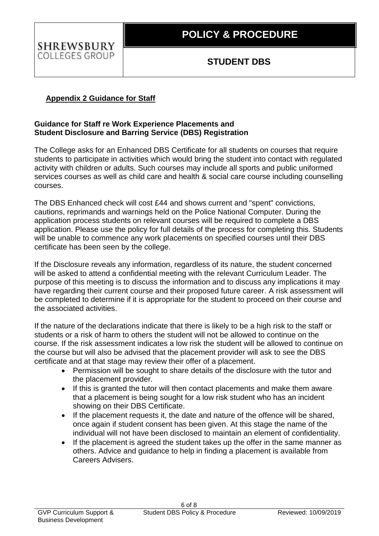### **Appendix 2 Guidance for Staff**

### **Guidance for Staff re Work Experience Placements and Student Disclosure and Barring Service (DBS) Registration**

The College asks for an Enhanced DBS Certificate for all students on courses that require students to participate in activities which would bring the student into contact with regulated activity with children or adults. Such courses may include all sports and public uniformed services courses as well as child care and health & social care course including counselling courses.

The DBS Enhanced check will cost £44 and shows current and "spent" convictions, cautions, reprimands and warnings held on the Police National Computer. During the application process students on relevant courses will be required to complete a DBS application. Please use the policy for full details of the process for completing this. Students will be unable to commence any work placements on specified courses until their DBS certificate has been seen by the college.

If the Disclosure reveals any information, regardless of its nature, the student concerned will be asked to attend a confidential meeting with the relevant Curriculum Leader. The purpose of this meeting is to discuss the information and to discuss any implications it may have regarding their current course and their proposed future career. A risk assessment will be completed to determine if it is appropriate for the student to proceed on their course and the associated activities.

If the nature of the declarations indicate that there is likely to be a high risk to the staff or students or a risk of harm to others the student will not be allowed to continue on the course. If the risk assessment indicates a low risk the student will be allowed to continue on the course but will also be advised that the placement provider will ask to see the DBS certificate and at that stage may review their offer of a placement.

- Permission will be sought to share details of the disclosure with the tutor and the placement provider.
- If this is granted the tutor will then contact placements and make them aware that a placement is being sought for a low risk student who has an incident showing on their DBS Certificate.
- If the placement requests it, the date and nature of the offence will be shared, once again if student consent has been given. At this stage the name of the individual will not have been disclosed to maintain an element of confidentiality.
- If the placement is agreed the student takes up the offer in the same manner as others. Advice and guidance to help in finding a placement is available from Careers Advisers.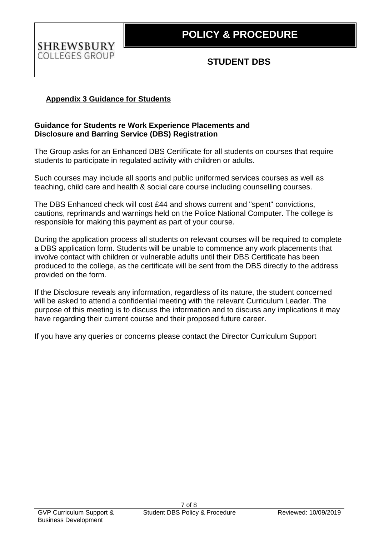### **Appendix 3 Guidance for Students**

### **Guidance for Students re Work Experience Placements and Disclosure and Barring Service (DBS) Registration**

The Group asks for an Enhanced DBS Certificate for all students on courses that require students to participate in regulated activity with children or adults.

Such courses may include all sports and public uniformed services courses as well as teaching, child care and health & social care course including counselling courses.

The DBS Enhanced check will cost £44 and shows current and "spent" convictions, cautions, reprimands and warnings held on the Police National Computer. The college is responsible for making this payment as part of your course.

During the application process all students on relevant courses will be required to complete a DBS application form. Students will be unable to commence any work placements that involve contact with children or vulnerable adults until their DBS Certificate has been produced to the college, as the certificate will be sent from the DBS directly to the address provided on the form.

If the Disclosure reveals any information, regardless of its nature, the student concerned will be asked to attend a confidential meeting with the relevant Curriculum Leader. The purpose of this meeting is to discuss the information and to discuss any implications it may have regarding their current course and their proposed future career.

If you have any queries or concerns please contact the Director Curriculum Support